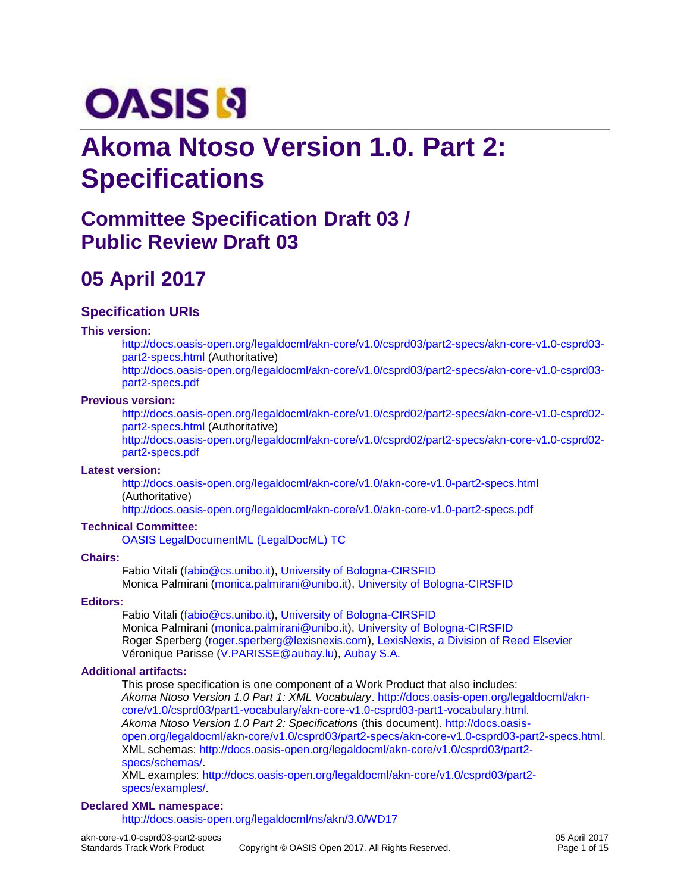# **OASIS N**

# **Akoma Ntoso Version 1.0. Part 2: Specifications**

### **Committee Specification Draft 03 / Public Review Draft 03**

# **05 April 2017**

#### **Specification URIs**

#### **This version:**

[http://docs.oasis-open.org/legaldocml/akn-core/v1.0/csprd03/part2-specs/akn-core-v1.0-csprd03](http://docs.oasis-open.org/legaldocml/akn-core/v1.0/csprd03/part2-specs/akn-core-v1.0-csprd03-part2-specs.html) [part2-specs.html](http://docs.oasis-open.org/legaldocml/akn-core/v1.0/csprd03/part2-specs/akn-core-v1.0-csprd03-part2-specs.html) (Authoritative) [http://docs.oasis-open.org/legaldocml/akn-core/v1.0/csprd03/part2-specs/akn-core-v1.0-csprd03](http://docs.oasis-open.org/legaldocml/akn-core/v1.0/csprd03/part2-specs/akn-core-v1.0-csprd03-part2-specs.pdf) [part2-specs.pdf](http://docs.oasis-open.org/legaldocml/akn-core/v1.0/csprd03/part2-specs/akn-core-v1.0-csprd03-part2-specs.pdf)

#### **Previous version:**

[http://docs.oasis-open.org/legaldocml/akn-core/v1.0/csprd02/part2-specs/akn-core-v1.0-csprd02](http://docs.oasis-open.org/legaldocml/akn-core/v1.0/csprd02/part2-specs/akn-core-v1.0-csprd02-part2-specs.html) [part2-specs.html](http://docs.oasis-open.org/legaldocml/akn-core/v1.0/csprd02/part2-specs/akn-core-v1.0-csprd02-part2-specs.html) (Authoritative)

[http://docs.oasis-open.org/legaldocml/akn-core/v1.0/csprd02/part2-specs/akn-core-v1.0-csprd02](http://docs.oasis-open.org/legaldocml/akn-core/v1.0/csprd02/part2-specs/akn-core-v1.0-csprd02-part2-specs.pdf) [part2-specs.pdf](http://docs.oasis-open.org/legaldocml/akn-core/v1.0/csprd02/part2-specs/akn-core-v1.0-csprd02-part2-specs.pdf)

#### **Latest version:**

<http://docs.oasis-open.org/legaldocml/akn-core/v1.0/akn-core-v1.0-part2-specs.html> (Authoritative)

<http://docs.oasis-open.org/legaldocml/akn-core/v1.0/akn-core-v1.0-part2-specs.pdf>

#### **Technical Committee:**

[OASIS LegalDocumentML \(LegalDocML\) TC](https://www.oasis-open.org/committees/legaldocml/)

#### **Chairs:**

Fabio Vitali [\(fabio@cs.unibo.it\)](mailto:fabio@cs.unibo.it), [University of Bologna-CIRSFID](http://www.cirsfid.unibo.it/) Monica Palmirani [\(monica.palmirani@unibo.it\)](mailto:monica.palmirani@unibo.it), [University of Bologna-CIRSFID](http://www.cirsfid.unibo.it/)

#### **Editors:**

Fabio Vitali [\(fabio@cs.unibo.it\)](mailto:fabio@cs.unibo.it), [University of Bologna-CIRSFID](http://www.cirsfid.unibo.it/) Monica Palmirani [\(monica.palmirani@unibo.it\)](mailto:monica.palmirani@unibo.it), [University of Bologna-CIRSFID](http://www.cirsfid.unibo.it/) Roger Sperberg [\(roger.sperberg@lexisnexis.com\)](mailto:roger.sperberg@lexisnexis.com), [LexisNexis, a Division of Reed Elsevier](http://www.lexisnexis.com/) Véronique Parisse [\(V.PARISSE@aubay.lu\)](mailto:V.PARISSE@aubay.lu), [Aubay S.A.](http://aubay.com/)

#### **Additional artifacts:**

This prose specification is one component of a Work Product that also includes: *Akoma Ntoso Version 1.0 Part 1: XML Vocabulary*. [http://docs.oasis-open.org/legaldocml/akn](http://docs.oasis-open.org/legaldocml/akn-core/v1.0/csprd03/part1-vocabulary/akn-core-v1.0-csprd03-part1-vocabulary.html)[core/v1.0/csprd03/part1-vocabulary/akn-core-v1.0-csprd03-part1-vocabulary.html.](http://docs.oasis-open.org/legaldocml/akn-core/v1.0/csprd03/part1-vocabulary/akn-core-v1.0-csprd03-part1-vocabulary.html) *Akoma Ntoso Version 1.0 Part 2: Specifications* (this document). [http://docs.oasis](http://docs.oasis-open.org/legaldocml/akn-core/v1.0/csprd03/part2-specs/akn-core-v1.0-csprd03-part2-specs.html)[open.org/legaldocml/akn-core/v1.0/csprd03/part2-specs/akn-core-v1.0-csprd03-part2-specs.html.](http://docs.oasis-open.org/legaldocml/akn-core/v1.0/csprd03/part2-specs/akn-core-v1.0-csprd03-part2-specs.html) XML schemas: [http://docs.oasis-open.org/legaldocml/akn-core/v1.0/csprd03/part2](http://docs.oasis-open.org/legaldocml/akn-core/v1.0/csprd03/part2-specs/schemas/) [specs/schemas/.](http://docs.oasis-open.org/legaldocml/akn-core/v1.0/csprd03/part2-specs/schemas/)

XML examples: [http://docs.oasis-open.org/legaldocml/akn-core/v1.0/csprd03/part2](http://docs.oasis-open.org/legaldocml/akn-core/v1.0/csprd03/part2-specs/examples/) [specs/examples/.](http://docs.oasis-open.org/legaldocml/akn-core/v1.0/csprd03/part2-specs/examples/)

#### **Declared XML namespace:**

<http://docs.oasis-open.org/legaldocml/ns/akn/3.0/WD17>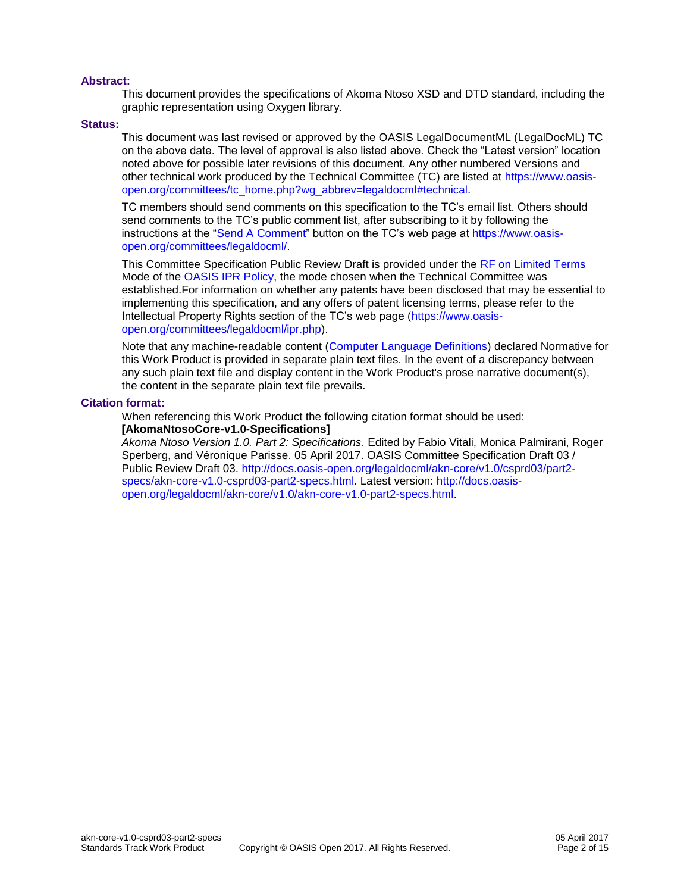#### **Abstract:**

This document provides the specifications of Akoma Ntoso XSD and DTD standard, including the graphic representation using Oxygen library.

#### **Status:**

This document was last revised or approved by the OASIS LegalDocumentML (LegalDocML) TC on the above date. The level of approval is also listed above. Check the "Latest version" location noted above for possible later revisions of this document. Any other numbered Versions and other technical work produced by the Technical Committee (TC) are listed at [https://www.oasis](https://www.oasis-open.org/committees/tc_home.php?wg_abbrev=legaldocml#technical)[open.org/committees/tc\\_home.php?wg\\_abbrev=legaldocml#technical.](https://www.oasis-open.org/committees/tc_home.php?wg_abbrev=legaldocml#technical)

TC members should send comments on this specification to the TC's email list. Others should send comments to the TC's public comment list, after subscribing to it by following the instructions at the ["Send A Comment"](https://www.oasis-open.org/committees/comments/index.php?wg_abbrev=legaldocml) button on the TC's web page at [https://www.oasis](https://www.oasis-open.org/committees/legaldocml/)[open.org/committees/legaldocml/.](https://www.oasis-open.org/committees/legaldocml/)

This Committee Specification Public Review Draft is provided under the [RF on Limited Terms](https://www.oasis-open.org/policies-guidelines/ipr#RF-on-Limited-Mode) Mode of the [OASIS IPR Policy,](https://www.oasis-open.org/policies-guidelines/ipr) the mode chosen when the Technical Committee was established.For information on whether any patents have been disclosed that may be essential to implementing this specification, and any offers of patent licensing terms, please refer to the Intellectual Property Rights section of the TC's web page [\(https://www.oasis](https://www.oasis-open.org/committees/legaldocml/ipr.php)[open.org/committees/legaldocml/ipr.php\)](https://www.oasis-open.org/committees/legaldocml/ipr.php).

Note that any machine-readable content [\(Computer Language Definitions\)](https://www.oasis-open.org/policies-guidelines/tc-process#quality-formalLangDefns) declared Normative for this Work Product is provided in separate plain text files. In the event of a discrepancy between any such plain text file and display content in the Work Product's prose narrative document(s), the content in the separate plain text file prevails.

#### **Citation format:**

When referencing this Work Product the following citation format should be used: **[AkomaNtosoCore-v1.0-Specifications]**

*Akoma Ntoso Version 1.0. Part 2: Specifications*. Edited by Fabio Vitali, Monica Palmirani, Roger Sperberg, and Véronique Parisse. 05 April 2017. OASIS Committee Specification Draft 03 / Public Review Draft 03. [http://docs.oasis-open.org/legaldocml/akn-core/v1.0/csprd03/part2](http://docs.oasis-open.org/legaldocml/akn-core/v1.0/csprd03/part2-specs/akn-core-v1.0-csprd03-part2-specs.html) [specs/akn-core-v1.0-csprd03-part2-specs.html.](http://docs.oasis-open.org/legaldocml/akn-core/v1.0/csprd03/part2-specs/akn-core-v1.0-csprd03-part2-specs.html) Latest version: [http://docs.oasis](http://docs.oasis-open.org/legaldocml/akn-core/v1.0/akn-core-v1.0-part2-specs.html)[open.org/legaldocml/akn-core/v1.0/akn-core-v1.0-part2-specs.html.](http://docs.oasis-open.org/legaldocml/akn-core/v1.0/akn-core-v1.0-part2-specs.html)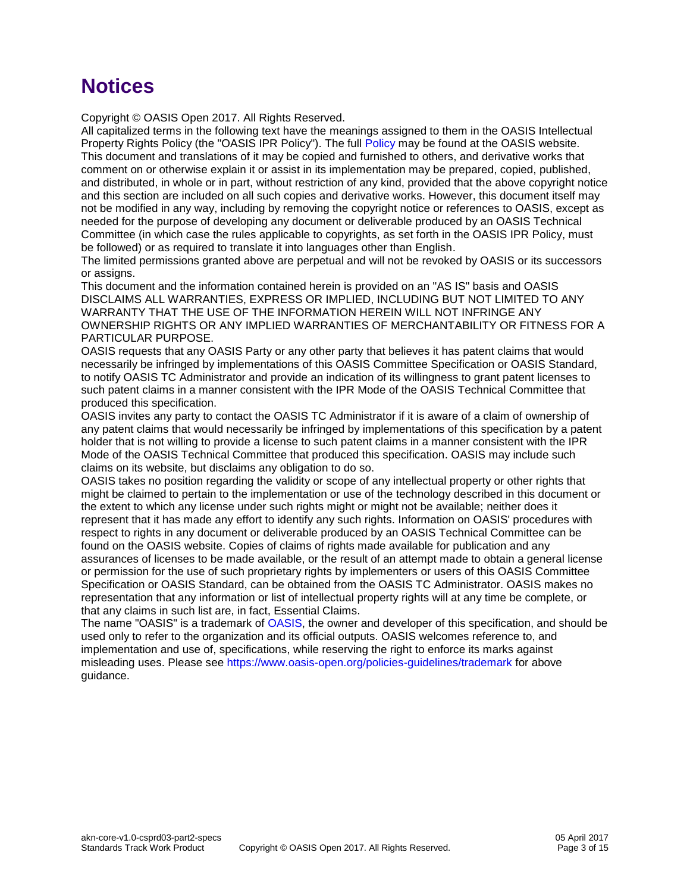# **Notices**

Copyright © OASIS Open 2017. All Rights Reserved.

All capitalized terms in the following text have the meanings assigned to them in the OASIS Intellectual Property Rights Policy (the "OASIS IPR Policy"). The full [Policy](https://www.oasis-open.org/policies-guidelines/ipr) may be found at the OASIS website. This document and translations of it may be copied and furnished to others, and derivative works that comment on or otherwise explain it or assist in its implementation may be prepared, copied, published, and distributed, in whole or in part, without restriction of any kind, provided that the above copyright notice and this section are included on all such copies and derivative works. However, this document itself may not be modified in any way, including by removing the copyright notice or references to OASIS, except as needed for the purpose of developing any document or deliverable produced by an OASIS Technical Committee (in which case the rules applicable to copyrights, as set forth in the OASIS IPR Policy, must be followed) or as required to translate it into languages other than English.

The limited permissions granted above are perpetual and will not be revoked by OASIS or its successors or assigns.

This document and the information contained herein is provided on an "AS IS" basis and OASIS DISCLAIMS ALL WARRANTIES, EXPRESS OR IMPLIED, INCLUDING BUT NOT LIMITED TO ANY WARRANTY THAT THE USE OF THE INFORMATION HEREIN WILL NOT INFRINGE ANY OWNERSHIP RIGHTS OR ANY IMPLIED WARRANTIES OF MERCHANTABILITY OR FITNESS FOR A PARTICULAR PURPOSE.

OASIS requests that any OASIS Party or any other party that believes it has patent claims that would necessarily be infringed by implementations of this OASIS Committee Specification or OASIS Standard, to notify OASIS TC Administrator and provide an indication of its willingness to grant patent licenses to such patent claims in a manner consistent with the IPR Mode of the OASIS Technical Committee that produced this specification.

OASIS invites any party to contact the OASIS TC Administrator if it is aware of a claim of ownership of any patent claims that would necessarily be infringed by implementations of this specification by a patent holder that is not willing to provide a license to such patent claims in a manner consistent with the IPR Mode of the OASIS Technical Committee that produced this specification. OASIS may include such claims on its website, but disclaims any obligation to do so.

OASIS takes no position regarding the validity or scope of any intellectual property or other rights that might be claimed to pertain to the implementation or use of the technology described in this document or the extent to which any license under such rights might or might not be available; neither does it represent that it has made any effort to identify any such rights. Information on OASIS' procedures with respect to rights in any document or deliverable produced by an OASIS Technical Committee can be found on the OASIS website. Copies of claims of rights made available for publication and any assurances of licenses to be made available, or the result of an attempt made to obtain a general license or permission for the use of such proprietary rights by implementers or users of this OASIS Committee Specification or OASIS Standard, can be obtained from the OASIS TC Administrator. OASIS makes no representation that any information or list of intellectual property rights will at any time be complete, or that any claims in such list are, in fact, Essential Claims.

The name "OASIS" is a trademark of [OASIS,](https://www.oasis-open.org/) the owner and developer of this specification, and should be used only to refer to the organization and its official outputs. OASIS welcomes reference to, and implementation and use of, specifications, while reserving the right to enforce its marks against misleading uses. Please see<https://www.oasis-open.org/policies-guidelines/trademark> for above guidance.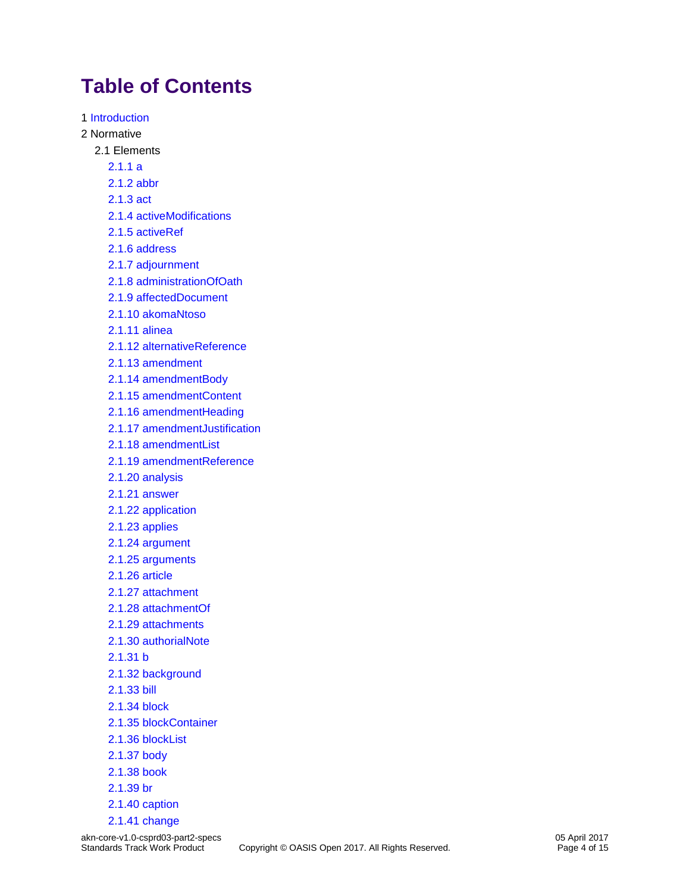# **Table of Contents**

1 [Introduction](materials/akn-core-v1.0-csprd03-part2-specs-1.html) 2 Normative 2.1 Elements [2.1.1 a](materials/akn-core-v1.0-csprd03-part2-specs_xsd_Element_a.html) [2.1.2 abbr](materials/akn-core-v1.0-csprd03-part2-specs_xsd_Element_abbr.html) [2.1.3 act](materials/akn-core-v1.0-csprd03-part2-specs_xsd_Element_act.html) [2.1.4 activeModifications](materials/akn-core-v1.0-csprd03-part2-specs_xsd_Element_activeModifications.html) [2.1.5 activeRef](materials/akn-core-v1.0-csprd03-part2-specs_xsd_Element_activeRef.html) [2.1.6 address](materials/akn-core-v1.0-csprd03-part2-specs_xsd_Element_address.html) [2.1.7 adjournment](materials/akn-core-v1.0-csprd03-part2-specs_xsd_Element_adjournment.html) [2.1.8 administrationOfOath](materials/akn-core-v1.0-csprd03-part2-specs_xsd_Element_administrationOfOath.html) [2.1.9 affectedDocument](materials/akn-core-v1.0-csprd03-part2-specs_xsd_Element_affectedDocument.html) [2.1.10 akomaNtoso](materials/akn-core-v1.0-csprd03-part2-specs_xsd_Element_akomaNtoso.html) [2.1.11 alinea](materials/akn-core-v1.0-csprd03-part2-specs_xsd_Element_alinea.html) [2.1.12 alternativeReference](materials/akn-core-v1.0-csprd03-part2-specs_xsd_Element_alternativeReference.html) [2.1.13 amendment](materials/akn-core-v1.0-csprd03-part2-specs_xsd_Element_amendment.html) [2.1.14 amendmentBody](materials/akn-core-v1.0-csprd03-part2-specs_xsd_Element_amendmentBody.html) [2.1.15 amendmentContent](materials/akn-core-v1.0-csprd03-part2-specs_xsd_Element_amendmentContent.html) [2.1.16 amendmentHeading](materials/akn-core-v1.0-csprd03-part2-specs_xsd_Element_amendmentHeading.html) [2.1.17 amendmentJustification](materials/akn-core-v1.0-csprd03-part2-specs_xsd_Element_amendmentJustification.html) [2.1.18 amendmentList](materials/akn-core-v1.0-csprd03-part2-specs_xsd_Element_amendmentList.html) [2.1.19 amendmentReference](materials/akn-core-v1.0-csprd03-part2-specs_xsd_Element_amendmentReference.html) [2.1.20 analysis](materials/akn-core-v1.0-csprd03-part2-specs_xsd_Element_analysis.html) [2.1.21 answer](materials/akn-core-v1.0-csprd03-part2-specs_xsd_Element_answer.html) [2.1.22 application](materials/akn-core-v1.0-csprd03-part2-specs_xsd_Element_application.html) [2.1.23 applies](materials/akn-core-v1.0-csprd03-part2-specs_xsd_Element_applies.html) [2.1.24 argument](materials/akn-core-v1.0-csprd03-part2-specs_xsd_Element_argument.html) [2.1.25 arguments](materials/akn-core-v1.0-csprd03-part2-specs_xsd_Element_arguments.html) [2.1.26 article](materials/akn-core-v1.0-csprd03-part2-specs_xsd_Element_article.html) [2.1.27 attachment](materials/akn-core-v1.0-csprd03-part2-specs_xsd_Element_attachment.html) [2.1.28 attachmentOf](materials/akn-core-v1.0-csprd03-part2-specs_xsd_Element_attachmentOf.html) [2.1.29 attachments](materials/akn-core-v1.0-csprd03-part2-specs_xsd_Element_attachments.html) [2.1.30 authorialNote](materials/akn-core-v1.0-csprd03-part2-specs_xsd_Element_authorialNote.html) [2.1.31 b](materials/akn-core-v1.0-csprd03-part2-specs_xsd_Element_b.html) 2.1.32 [background](materials/akn-core-v1.0-csprd03-part2-specs_xsd_Element_background.html) [2.1.33 bill](materials/akn-core-v1.0-csprd03-part2-specs_xsd_Element_bill.html) [2.1.34 block](materials/akn-core-v1.0-csprd03-part2-specs_xsd_Element_block.html) [2.1.35 blockContainer](materials/akn-core-v1.0-csprd03-part2-specs_xsd_Element_blockContainer.html) [2.1.36 blockList](materials/akn-core-v1.0-csprd03-part2-specs_xsd_Element_blockList.html) [2.1.37 body](materials/akn-core-v1.0-csprd03-part2-specs_xsd_Element_body.html) [2.1.38 book](materials/akn-core-v1.0-csprd03-part2-specs_xsd_Element_book.html) [2.1.39 br](materials/akn-core-v1.0-csprd03-part2-specs_xsd_Element_br.html) [2.1.40 caption](materials/akn-core-v1.0-csprd03-part2-specs_xsd_Element_caption.html)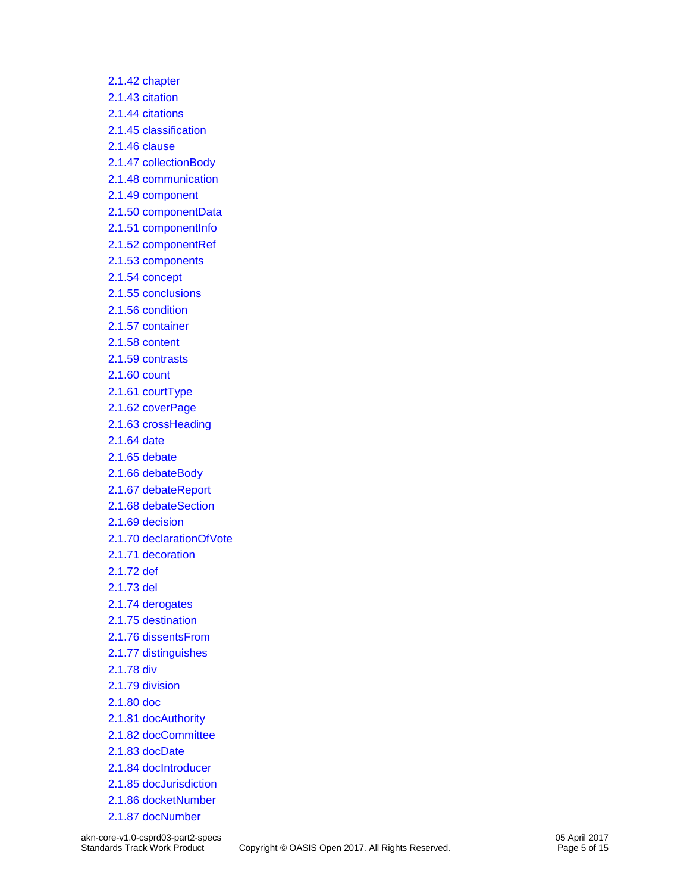[2.1.42 chapter](materials/akn-core-v1.0-csprd03-part2-specs_xsd_Element_chapter.html) [2.1.43 citation](materials/akn-core-v1.0-csprd03-part2-specs_xsd_Element_citation.html) [2.1.44 citations](materials/akn-core-v1.0-csprd03-part2-specs_xsd_Element_citations.html) [2.1.45 classification](materials/akn-core-v1.0-csprd03-part2-specs_xsd_Element_classification.html) [2.1.46 clause](materials/akn-core-v1.0-csprd03-part2-specs_xsd_Element_clause.html) [2.1.47 collectionBody](materials/akn-core-v1.0-csprd03-part2-specs_xsd_Element_collectionBody.html) [2.1.48 communication](materials/akn-core-v1.0-csprd03-part2-specs_xsd_Element_communication.html) [2.1.49 component](materials/akn-core-v1.0-csprd03-part2-specs_xsd_Element_component.html) [2.1.50 componentData](materials/akn-core-v1.0-csprd03-part2-specs_xsd_Element_componentData.html) [2.1.51 componentInfo](materials/akn-core-v1.0-csprd03-part2-specs_xsd_Element_componentInfo.html) [2.1.52 componentRef](materials/akn-core-v1.0-csprd03-part2-specs_xsd_Element_componentRef.html) [2.1.53 components](materials/akn-core-v1.0-csprd03-part2-specs_xsd_Element_components.html) [2.1.54 concept](materials/akn-core-v1.0-csprd03-part2-specs_xsd_Element_concept.html) [2.1.55 conclusions](materials/akn-core-v1.0-csprd03-part2-specs_xsd_Element_conclusions.html) [2.1.56 condition](materials/akn-core-v1.0-csprd03-part2-specs_xsd_Element_condition.html) [2.1.57 container](materials/akn-core-v1.0-csprd03-part2-specs_xsd_Element_container.html) [2.1.58 content](materials/akn-core-v1.0-csprd03-part2-specs_xsd_Element_content.html) [2.1.59 contrasts](materials/akn-core-v1.0-csprd03-part2-specs_xsd_Element_contrasts.html) [2.1.60 count](materials/akn-core-v1.0-csprd03-part2-specs_xsd_Element_count.html) [2.1.61 courtType](materials/akn-core-v1.0-csprd03-part2-specs_xsd_Element_courtType.html) [2.1.62 coverPage](materials/akn-core-v1.0-csprd03-part2-specs_xsd_Element_coverPage.html) [2.1.63 crossHeading](materials/akn-core-v1.0-csprd03-part2-specs_xsd_Element_crossHeading.html) [2.1.64 date](materials/akn-core-v1.0-csprd03-part2-specs_xsd_Element_date.html) [2.1.65 debate](materials/akn-core-v1.0-csprd03-part2-specs_xsd_Element_debate.html) [2.1.66 debateBody](materials/akn-core-v1.0-csprd03-part2-specs_xsd_Element_debateBody.html) [2.1.67 debateReport](materials/akn-core-v1.0-csprd03-part2-specs_xsd_Element_debateReport.html) [2.1.68 debateSection](materials/akn-core-v1.0-csprd03-part2-specs_xsd_Element_debateSection.html) [2.1.69 decision](materials/akn-core-v1.0-csprd03-part2-specs_xsd_Element_decision.html) [2.1.70 declarationOfVote](materials/akn-core-v1.0-csprd03-part2-specs_xsd_Element_declarationOfVote.html) [2.1.71 decoration](materials/akn-core-v1.0-csprd03-part2-specs_xsd_Element_decoration.html) [2.1.72 def](materials/akn-core-v1.0-csprd03-part2-specs_xsd_Element_def.html) [2.1.73 del](materials/akn-core-v1.0-csprd03-part2-specs_xsd_Element_del.html) [2.1.74 derogates](materials/akn-core-v1.0-csprd03-part2-specs_xsd_Element_derogates.html) [2.1.75 destination](materials/akn-core-v1.0-csprd03-part2-specs_xsd_Element_destination.html) [2.1.76 dissentsFrom](materials/akn-core-v1.0-csprd03-part2-specs_xsd_Element_dissentsFrom.html) [2.1.77 distinguishes](materials/akn-core-v1.0-csprd03-part2-specs_xsd_Element_distinguishes.html) [2.1.78 div](materials/akn-core-v1.0-csprd03-part2-specs_xsd_Element_div.html) [2.1.79 division](materials/akn-core-v1.0-csprd03-part2-specs_xsd_Element_division.html) [2.1.80 doc](materials/akn-core-v1.0-csprd03-part2-specs_xsd_Element_doc.html) [2.1.81 docAuthority](materials/akn-core-v1.0-csprd03-part2-specs_xsd_Element_docAuthority.html) [2.1.82 docCommittee](materials/akn-core-v1.0-csprd03-part2-specs_xsd_Element_docCommittee.html) [2.1.83 docDate](materials/akn-core-v1.0-csprd03-part2-specs_xsd_Element_docDate.html) [2.1.84 docIntroducer](materials/akn-core-v1.0-csprd03-part2-specs_xsd_Element_docIntroducer.html) [2.1.85 docJurisdiction](materials/akn-core-v1.0-csprd03-part2-specs_xsd_Element_docJurisdiction.html) [2.1.86 docketNumber](materials/akn-core-v1.0-csprd03-part2-specs_xsd_Element_docketNumber.html) [2.1.87 docNumber](materials/akn-core-v1.0-csprd03-part2-specs_xsd_Element_docNumber.html)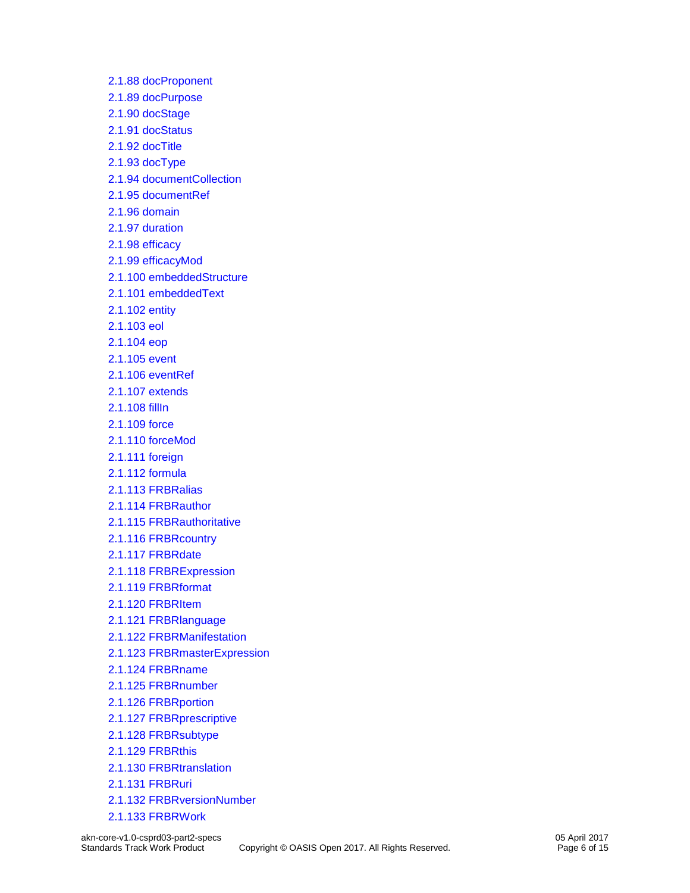[2.1.88 docProponent](materials/akn-core-v1.0-csprd03-part2-specs_xsd_Element_docProponent.html) [2.1.89 docPurpose](materials/akn-core-v1.0-csprd03-part2-specs_xsd_Element_docPurpose.html) [2.1.90 docStage](materials/akn-core-v1.0-csprd03-part2-specs_xsd_Element_docStage.html) [2.1.91 docStatus](materials/akn-core-v1.0-csprd03-part2-specs_xsd_Element_docStatus.html) [2.1.92 docTitle](materials/akn-core-v1.0-csprd03-part2-specs_xsd_Element_docTitle.html) [2.1.93 docType](materials/akn-core-v1.0-csprd03-part2-specs_xsd_Element_docType.html) [2.1.94 documentCollection](materials/akn-core-v1.0-csprd03-part2-specs_xsd_Element_documentCollection.html) [2.1.95 documentRef](materials/akn-core-v1.0-csprd03-part2-specs_xsd_Element_documentRef.html) [2.1.96 domain](materials/akn-core-v1.0-csprd03-part2-specs_xsd_Element_domain.html) [2.1.97 duration](materials/akn-core-v1.0-csprd03-part2-specs_xsd_Element_duration.html) [2.1.98 efficacy](materials/akn-core-v1.0-csprd03-part2-specs_xsd_Element_efficacy.html) [2.1.99 efficacyMod](materials/akn-core-v1.0-csprd03-part2-specs_xsd_Element_efficacyMod.html) [2.1.100 embeddedStructure](materials/akn-core-v1.0-csprd03-part2-specs_xsd_Element_embeddedStructure.html) [2.1.101 embeddedText](materials/akn-core-v1.0-csprd03-part2-specs_xsd_Element_embeddedText.html) [2.1.102 entity](materials/akn-core-v1.0-csprd03-part2-specs_xsd_Element_entity.html) [2.1.103 eol](materials/akn-core-v1.0-csprd03-part2-specs_xsd_Element_eol.html) [2.1.104 eop](materials/akn-core-v1.0-csprd03-part2-specs_xsd_Element_eop.html) [2.1.105 event](materials/akn-core-v1.0-csprd03-part2-specs_xsd_Element_event.html) [2.1.106 eventRef](materials/akn-core-v1.0-csprd03-part2-specs_xsd_Element_eventRef.html) [2.1.107 extends](materials/akn-core-v1.0-csprd03-part2-specs_xsd_Element_extends.html) [2.1.108 fillIn](materials/akn-core-v1.0-csprd03-part2-specs_xsd_Element_fillIn.html) [2.1.109 force](materials/akn-core-v1.0-csprd03-part2-specs_xsd_Element_force.html) [2.1.110 forceMod](materials/akn-core-v1.0-csprd03-part2-specs_xsd_Element_forceMod.html) [2.1.111 foreign](materials/akn-core-v1.0-csprd03-part2-specs_xsd_Element_foreign.html) [2.1.112 formula](materials/akn-core-v1.0-csprd03-part2-specs_xsd_Element_formula.html) [2.1.113 FRBRalias](materials/akn-core-v1.0-csprd03-part2-specs_xsd_Element_FRBRalias.html) [2.1.114 FRBRauthor](materials/akn-core-v1.0-csprd03-part2-specs_xsd_Element_FRBRauthor.html) [2.1.115 FRBRauthoritative](materials/akn-core-v1.0-csprd03-part2-specs_xsd_Element_FRBRauthoritative.html) [2.1.116 FRBRcountry](materials/akn-core-v1.0-csprd03-part2-specs_xsd_Element_FRBRcountry.html) [2.1.117 FRBRdate](materials/akn-core-v1.0-csprd03-part2-specs_xsd_Element_FRBRdate.html) [2.1.118 FRBRExpression](materials/akn-core-v1.0-csprd03-part2-specs_xsd_Element_FRBRExpression.html) [2.1.119 FRBRformat](materials/akn-core-v1.0-csprd03-part2-specs_xsd_Element_FRBRformat.html) [2.1.120 FRBRItem](materials/akn-core-v1.0-csprd03-part2-specs_xsd_Element_FRBRItem.html) [2.1.121 FRBRlanguage](materials/akn-core-v1.0-csprd03-part2-specs_xsd_Element_FRBRlanguage.html) [2.1.122 FRBRManifestation](materials/akn-core-v1.0-csprd03-part2-specs_xsd_Element_FRBRManifestation.html) [2.1.123 FRBRmasterExpression](materials/akn-core-v1.0-csprd03-part2-specs_xsd_Element_FRBRmasterExpression.html) [2.1.124 FRBRname](materials/akn-core-v1.0-csprd03-part2-specs_xsd_Element_FRBRname.html) [2.1.125 FRBRnumber](materials/akn-core-v1.0-csprd03-part2-specs_xsd_Element_FRBRnumber.html) [2.1.126 FRBRportion](materials/akn-core-v1.0-csprd03-part2-specs_xsd_Element_FRBRportion.html) [2.1.127 FRBRprescriptive](materials/akn-core-v1.0-csprd03-part2-specs_xsd_Element_FRBRprescriptive.html) [2.1.128 FRBRsubtype](materials/akn-core-v1.0-csprd03-part2-specs_xsd_Element_FRBRsubtype.html) [2.1.129 FRBRthis](materials/akn-core-v1.0-csprd03-part2-specs_xsd_Element_FRBRthis.html) [2.1.130 FRBRtranslation](materials/akn-core-v1.0-csprd03-part2-specs_xsd_Element_FRBRtranslation.html) [2.1.131 FRBRuri](materials/akn-core-v1.0-csprd03-part2-specs_xsd_Element_FRBRuri.html) [2.1.132 FRBRversionNumber](materials/akn-core-v1.0-csprd03-part2-specs_xsd_Element_FRBRversionNumber.html) [2.1.133 FRBRWork](materials/akn-core-v1.0-csprd03-part2-specs_xsd_Element_FRBRWork.html)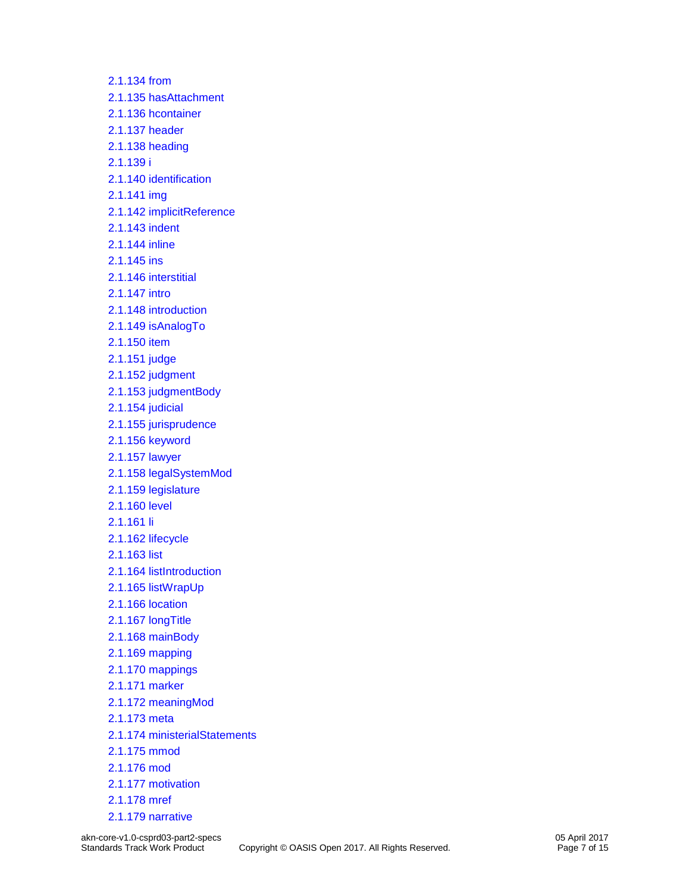[2.1.134 from](materials/akn-core-v1.0-csprd03-part2-specs_xsd_Element_from.html) [2.1.135 hasAttachment](materials/akn-core-v1.0-csprd03-part2-specs_xsd_Element_hasAttachment.html) [2.1.136 hcontainer](materials/akn-core-v1.0-csprd03-part2-specs_xsd_Element_hcontainer.html) [2.1.137 header](materials/akn-core-v1.0-csprd03-part2-specs_xsd_Element_header.html) [2.1.138 heading](materials/akn-core-v1.0-csprd03-part2-specs_xsd_Element_heading.html) [2.1.139 i](materials/akn-core-v1.0-csprd03-part2-specs_xsd_Element_i.html) [2.1.140 identification](materials/akn-core-v1.0-csprd03-part2-specs_xsd_Element_identification.html) [2.1.141 img](materials/akn-core-v1.0-csprd03-part2-specs_xsd_Element_img.html) [2.1.142 implicitReference](materials/akn-core-v1.0-csprd03-part2-specs_xsd_Element_implicitReference.html) [2.1.143 indent](materials/akn-core-v1.0-csprd03-part2-specs_xsd_Element_indent.html) [2.1.144 inline](materials/akn-core-v1.0-csprd03-part2-specs_xsd_Element_inline.html) [2.1.145 ins](materials/akn-core-v1.0-csprd03-part2-specs_xsd_Element_ins.html) [2.1.146 interstitial](materials/akn-core-v1.0-csprd03-part2-specs_xsd_Element_interstitial.html) [2.1.147 intro](materials/akn-core-v1.0-csprd03-part2-specs_xsd_Element_intro.html) [2.1.148 introduction](materials/akn-core-v1.0-csprd03-part2-specs_xsd_Element_introduction.html) [2.1.149 isAnalogTo](materials/akn-core-v1.0-csprd03-part2-specs_xsd_Element_isAnalogTo.html) [2.1.150 item](materials/akn-core-v1.0-csprd03-part2-specs_xsd_Element_item.html) [2.1.151 judge](materials/akn-core-v1.0-csprd03-part2-specs_xsd_Element_judge.html) [2.1.152 judgment](materials/akn-core-v1.0-csprd03-part2-specs_xsd_Element_judgment.html) [2.1.153 judgmentBody](materials/akn-core-v1.0-csprd03-part2-specs_xsd_Element_judgmentBody.html) [2.1.154 judicial](materials/akn-core-v1.0-csprd03-part2-specs_xsd_Element_judicial.html) [2.1.155 jurisprudence](materials/akn-core-v1.0-csprd03-part2-specs_xsd_Element_jurisprudence.html) [2.1.156 keyword](materials/akn-core-v1.0-csprd03-part2-specs_xsd_Element_keyword.html) [2.1.157 lawyer](materials/akn-core-v1.0-csprd03-part2-specs_xsd_Element_lawyer.html) [2.1.158 legalSystemMod](materials/akn-core-v1.0-csprd03-part2-specs_xsd_Element_legalSystemMod.html) [2.1.159 legislature](materials/akn-core-v1.0-csprd03-part2-specs_xsd_Element_legislature.html) [2.1.160 level](materials/akn-core-v1.0-csprd03-part2-specs_xsd_Element_level.html) [2.1.161 li](materials/akn-core-v1.0-csprd03-part2-specs_xsd_Element_li.html) [2.1.162 lifecycle](materials/akn-core-v1.0-csprd03-part2-specs_xsd_Element_lifecycle.html) [2.1.163 list](materials/akn-core-v1.0-csprd03-part2-specs_xsd_Element_list.html) [2.1.164 listIntroduction](materials/akn-core-v1.0-csprd03-part2-specs_xsd_Element_listIntroduction.html) [2.1.165 listWrapUp](materials/akn-core-v1.0-csprd03-part2-specs_xsd_Element_listWrapUp.html) [2.1.166 location](materials/akn-core-v1.0-csprd03-part2-specs_xsd_Element_location.html) [2.1.167 longTitle](materials/akn-core-v1.0-csprd03-part2-specs_xsd_Element_longTitle.html) [2.1.168 mainBody](materials/akn-core-v1.0-csprd03-part2-specs_xsd_Element_mainBody.html) [2.1.169 mapping](materials/akn-core-v1.0-csprd03-part2-specs_xsd_Element_mapping.html) [2.1.170 mappings](materials/akn-core-v1.0-csprd03-part2-specs_xsd_Element_mappings.html) [2.1.171 marker](materials/akn-core-v1.0-csprd03-part2-specs_xsd_Element_marker.html) [2.1.172 meaningMod](materials/akn-core-v1.0-csprd03-part2-specs_xsd_Element_meaningMod.html) [2.1.173 meta](materials/akn-core-v1.0-csprd03-part2-specs_xsd_Element_meta.html) [2.1.174 ministerialStatements](materials/akn-core-v1.0-csprd03-part2-specs_xsd_Element_ministerialStatements.html) [2.1.175 mmod](materials/akn-core-v1.0-csprd03-part2-specs_xsd_Element_mmod.html) [2.1.176 mod](materials/akn-core-v1.0-csprd03-part2-specs_xsd_Element_mod.html) [2.1.177 motivation](materials/akn-core-v1.0-csprd03-part2-specs_xsd_Element_motivation.html) [2.1.178 mref](materials/akn-core-v1.0-csprd03-part2-specs_xsd_Element_mref.html) [2.1.179 narrative](materials/akn-core-v1.0-csprd03-part2-specs_xsd_Element_narrative.html)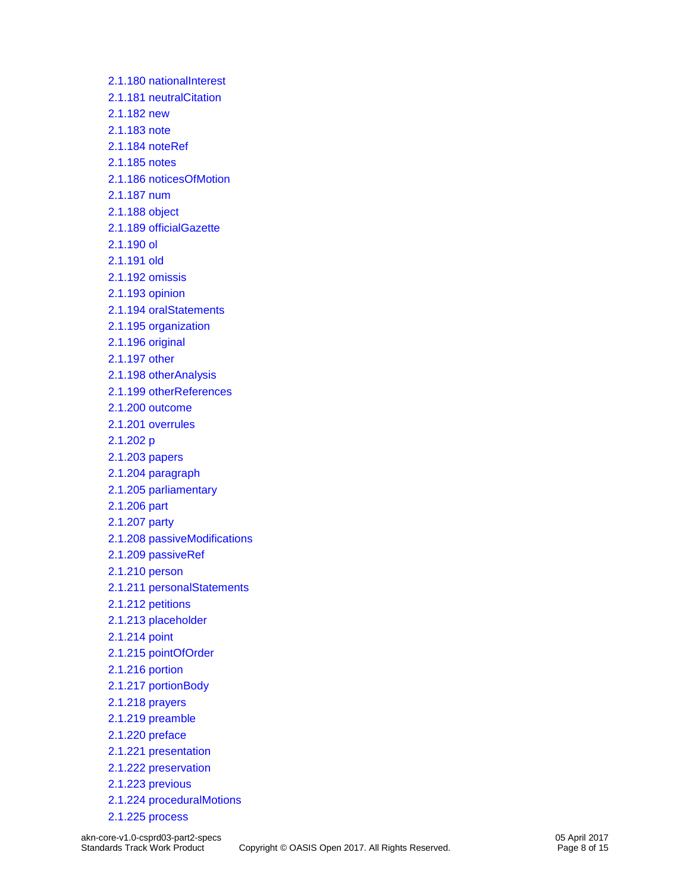[2.1.180 nationalInterest](materials/akn-core-v1.0-csprd03-part2-specs_xsd_Element_nationalInterest.html) [2.1.181 neutralCitation](materials/akn-core-v1.0-csprd03-part2-specs_xsd_Element_neutralCitation.html) [2.1.182 new](materials/akn-core-v1.0-csprd03-part2-specs_xsd_Element_new.html) [2.1.183 note](materials/akn-core-v1.0-csprd03-part2-specs_xsd_Element_note.html) [2.1.184 noteRef](materials/akn-core-v1.0-csprd03-part2-specs_xsd_Element_noteRef.html) [2.1.185 notes](materials/akn-core-v1.0-csprd03-part2-specs_xsd_Element_notes.html) [2.1.186 noticesOfMotion](materials/akn-core-v1.0-csprd03-part2-specs_xsd_Element_noticesOfMotion.html) [2.1.187 num](materials/akn-core-v1.0-csprd03-part2-specs_xsd_Element_num.html) [2.1.188 object](materials/akn-core-v1.0-csprd03-part2-specs_xsd_Element_object.html) [2.1.189 officialGazette](materials/akn-core-v1.0-csprd03-part2-specs_xsd_Element_officialGazette.html) [2.1.190 ol](materials/akn-core-v1.0-csprd03-part2-specs_xsd_Element_ol.html) [2.1.191 old](materials/akn-core-v1.0-csprd03-part2-specs_xsd_Element_old.html) [2.1.192 omissis](materials/akn-core-v1.0-csprd03-part2-specs_xsd_Element_omissis.html) [2.1.193 opinion](materials/akn-core-v1.0-csprd03-part2-specs_xsd_Element_opinion.html) [2.1.194 oralStatements](materials/akn-core-v1.0-csprd03-part2-specs_xsd_Element_oralStatements.html) [2.1.195 organization](materials/akn-core-v1.0-csprd03-part2-specs_xsd_Element_organization.html) [2.1.196 original](materials/akn-core-v1.0-csprd03-part2-specs_xsd_Element_original.html) [2.1.197 other](materials/akn-core-v1.0-csprd03-part2-specs_xsd_Element_other.html) [2.1.198 otherAnalysis](materials/akn-core-v1.0-csprd03-part2-specs_xsd_Element_otherAnalysis.html) [2.1.199 otherReferences](materials/akn-core-v1.0-csprd03-part2-specs_xsd_Element_otherReferences.html) [2.1.200 outcome](materials/akn-core-v1.0-csprd03-part2-specs_xsd_Element_outcome.html) [2.1.201 overrules](materials/akn-core-v1.0-csprd03-part2-specs_xsd_Element_overrules.html) [2.1.202 p](materials/akn-core-v1.0-csprd03-part2-specs_xsd_Element_p.html) [2.1.203 papers](materials/akn-core-v1.0-csprd03-part2-specs_xsd_Element_papers.html) [2.1.204 paragraph](materials/akn-core-v1.0-csprd03-part2-specs_xsd_Element_paragraph.html) [2.1.205 parliamentary](materials/akn-core-v1.0-csprd03-part2-specs_xsd_Element_parliamentary.html) [2.1.206 part](materials/akn-core-v1.0-csprd03-part2-specs_xsd_Element_part.html) [2.1.207 party](materials/akn-core-v1.0-csprd03-part2-specs_xsd_Element_party.html) [2.1.208 passiveModifications](materials/akn-core-v1.0-csprd03-part2-specs_xsd_Element_passiveModifications.html) [2.1.209 passiveRef](materials/akn-core-v1.0-csprd03-part2-specs_xsd_Element_passiveRef.html) [2.1.210 person](materials/akn-core-v1.0-csprd03-part2-specs_xsd_Element_person.html) [2.1.211 personalStatements](materials/akn-core-v1.0-csprd03-part2-specs_xsd_Element_personalStatements.html) [2.1.212 petitions](materials/akn-core-v1.0-csprd03-part2-specs_xsd_Element_petitions.html) [2.1.213 placeholder](materials/akn-core-v1.0-csprd03-part2-specs_xsd_Element_placeholder.html) [2.1.214 point](materials/akn-core-v1.0-csprd03-part2-specs_xsd_Element_point.html) [2.1.215 pointOfOrder](materials/akn-core-v1.0-csprd03-part2-specs_xsd_Element_pointOfOrder.html) [2.1.216 portion](materials/akn-core-v1.0-csprd03-part2-specs_xsd_Element_portion.html) [2.1.217 portionBody](materials/akn-core-v1.0-csprd03-part2-specs_xsd_Element_portionBody.html) [2.1.218 prayers](materials/akn-core-v1.0-csprd03-part2-specs_xsd_Element_prayers.html) [2.1.219 preamble](materials/akn-core-v1.0-csprd03-part2-specs_xsd_Element_preamble.html) [2.1.220 preface](materials/akn-core-v1.0-csprd03-part2-specs_xsd_Element_preface.html) [2.1.221 presentation](materials/akn-core-v1.0-csprd03-part2-specs_xsd_Element_presentation.html) [2.1.222 preservation](materials/akn-core-v1.0-csprd03-part2-specs_xsd_Element_preservation.html) [2.1.223 previous](materials/akn-core-v1.0-csprd03-part2-specs_xsd_Element_previous.html) [2.1.224 proceduralMotions](materials/akn-core-v1.0-csprd03-part2-specs_xsd_Element_proceduralMotions.html) [2.1.225 process](materials/akn-core-v1.0-csprd03-part2-specs_xsd_Element_process.html)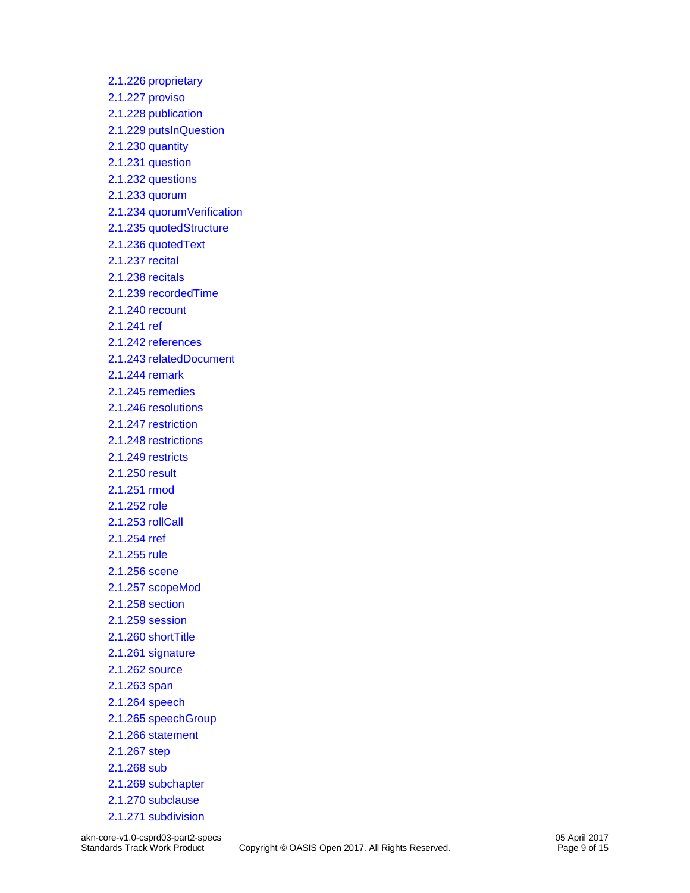[2.1.226 proprietary](materials/akn-core-v1.0-csprd03-part2-specs_xsd_Element_proprietary.html) [2.1.227 proviso](materials/akn-core-v1.0-csprd03-part2-specs_xsd_Element_proviso.html) [2.1.228 publication](materials/akn-core-v1.0-csprd03-part2-specs_xsd_Element_publication.html) [2.1.229 putsInQuestion](materials/akn-core-v1.0-csprd03-part2-specs_xsd_Element_putsInQuestion.html) [2.1.230 quantity](materials/akn-core-v1.0-csprd03-part2-specs_xsd_Element_quantity.html) [2.1.231 question](materials/akn-core-v1.0-csprd03-part2-specs_xsd_Element_question.html) [2.1.232 questions](materials/akn-core-v1.0-csprd03-part2-specs_xsd_Element_questions.html) [2.1.233 quorum](materials/akn-core-v1.0-csprd03-part2-specs_xsd_Element_quorum.html) [2.1.234 quorumVerification](materials/akn-core-v1.0-csprd03-part2-specs_xsd_Element_quorumVerification.html) [2.1.235 quotedStructure](materials/akn-core-v1.0-csprd03-part2-specs_xsd_Element_quotedStructure.html) [2.1.236 quotedText](materials/akn-core-v1.0-csprd03-part2-specs_xsd_Element_quotedText.html) [2.1.237 recital](materials/akn-core-v1.0-csprd03-part2-specs_xsd_Element_recital.html) [2.1.238 recitals](materials/akn-core-v1.0-csprd03-part2-specs_xsd_Element_recitals.html) [2.1.239 recordedTime](materials/akn-core-v1.0-csprd03-part2-specs_xsd_Element_recordedTime.html) [2.1.240 recount](materials/akn-core-v1.0-csprd03-part2-specs_xsd_Element_recount.html) [2.1.241 ref](materials/akn-core-v1.0-csprd03-part2-specs_xsd_Element_ref.html) [2.1.242 references](materials/akn-core-v1.0-csprd03-part2-specs_xsd_Element_references.html) [2.1.243 relatedDocument](materials/akn-core-v1.0-csprd03-part2-specs_xsd_Element_relatedDocument.html) [2.1.244 remark](materials/akn-core-v1.0-csprd03-part2-specs_xsd_Element_remark.html) [2.1.245 remedies](materials/akn-core-v1.0-csprd03-part2-specs_xsd_Element_remedies.html) [2.1.246 resolutions](materials/akn-core-v1.0-csprd03-part2-specs_xsd_Element_resolutions.html) [2.1.247 restriction](materials/akn-core-v1.0-csprd03-part2-specs_xsd_Element_restriction.html) [2.1.248 restrictions](materials/akn-core-v1.0-csprd03-part2-specs_xsd_Element_restrictions.html) [2.1.249 restricts](materials/akn-core-v1.0-csprd03-part2-specs_xsd_Element_restricts.html) [2.1.250 result](materials/akn-core-v1.0-csprd03-part2-specs_xsd_Element_result.html) [2.1.251 rmod](materials/akn-core-v1.0-csprd03-part2-specs_xsd_Element_rmod.html) [2.1.252 role](materials/akn-core-v1.0-csprd03-part2-specs_xsd_Element_role.html) [2.1.253 rollCall](materials/akn-core-v1.0-csprd03-part2-specs_xsd_Element_rollCall.html) [2.1.254 rref](materials/akn-core-v1.0-csprd03-part2-specs_xsd_Element_rref.html) [2.1.255 rule](materials/akn-core-v1.0-csprd03-part2-specs_xsd_Element_rule.html) [2.1.256 scene](materials/akn-core-v1.0-csprd03-part2-specs_xsd_Element_scene.html) [2.1.257 scopeMod](materials/akn-core-v1.0-csprd03-part2-specs_xsd_Element_scopeMod.html) [2.1.258 section](materials/akn-core-v1.0-csprd03-part2-specs_xsd_Element_section.html) [2.1.259 session](materials/akn-core-v1.0-csprd03-part2-specs_xsd_Element_session.html) [2.1.260 shortTitle](materials/akn-core-v1.0-csprd03-part2-specs_xsd_Element_shortTitle.html) [2.1.261 signature](materials/akn-core-v1.0-csprd03-part2-specs_xsd_Element_signature.html) [2.1.262 source](materials/akn-core-v1.0-csprd03-part2-specs_xsd_Element_source.html) [2.1.263 span](materials/akn-core-v1.0-csprd03-part2-specs_xsd_Element_span.html) [2.1.264 speech](materials/akn-core-v1.0-csprd03-part2-specs_xsd_Element_speech.html) [2.1.265 speechGroup](materials/akn-core-v1.0-csprd03-part2-specs_xsd_Element_speechGroup.html) [2.1.266 statement](materials/akn-core-v1.0-csprd03-part2-specs_xsd_Element_statement.html) [2.1.267 step](materials/akn-core-v1.0-csprd03-part2-specs_xsd_Element_step.html) [2.1.268 sub](materials/akn-core-v1.0-csprd03-part2-specs_xsd_Element_sub.html) [2.1.269 subchapter](materials/akn-core-v1.0-csprd03-part2-specs_xsd_Element_subchapter.html) [2.1.270 subclause](materials/akn-core-v1.0-csprd03-part2-specs_xsd_Element_subclause.html) [2.1.271 subdivision](materials/akn-core-v1.0-csprd03-part2-specs_xsd_Element_subdivision.html)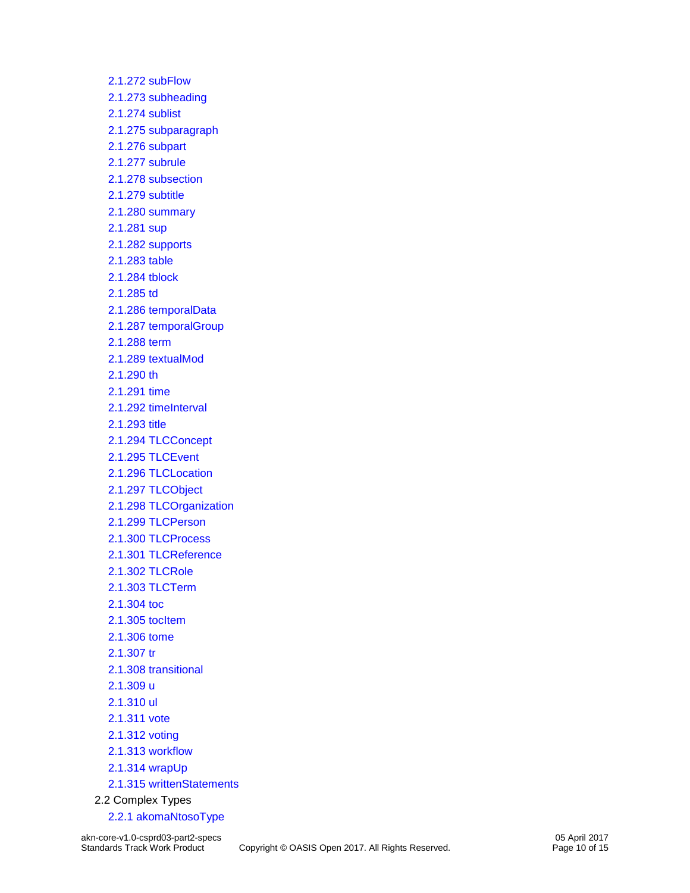[2.1.272 subFlow](materials/akn-core-v1.0-csprd03-part2-specs_xsd_Element_subFlow.html) [2.1.273 subheading](materials/akn-core-v1.0-csprd03-part2-specs_xsd_Element_subheading.html) [2.1.274 sublist](materials/akn-core-v1.0-csprd03-part2-specs_xsd_Element_sublist.html) [2.1.275 subparagraph](materials/akn-core-v1.0-csprd03-part2-specs_xsd_Element_subparagraph.html) [2.1.276 subpart](materials/akn-core-v1.0-csprd03-part2-specs_xsd_Element_subpart.html) [2.1.277 subrule](materials/akn-core-v1.0-csprd03-part2-specs_xsd_Element_subrule.html) [2.1.278 subsection](materials/akn-core-v1.0-csprd03-part2-specs_xsd_Element_subsection.html) [2.1.279 subtitle](materials/akn-core-v1.0-csprd03-part2-specs_xsd_Element_subtitle.html) [2.1.280 summary](materials/akn-core-v1.0-csprd03-part2-specs_xsd_Element_summary.html) [2.1.281 sup](materials/akn-core-v1.0-csprd03-part2-specs_xsd_Element_sup.html) [2.1.282 supports](materials/akn-core-v1.0-csprd03-part2-specs_xsd_Element_supports.html) [2.1.283 table](materials/akn-core-v1.0-csprd03-part2-specs_xsd_Element_table.html) [2.1.284 tblock](materials/akn-core-v1.0-csprd03-part2-specs_xsd_Element_tblock.html) [2.1.285 td](materials/akn-core-v1.0-csprd03-part2-specs_xsd_Element_td.html) [2.1.286 temporalData](materials/akn-core-v1.0-csprd03-part2-specs_xsd_Element_temporalData.html) [2.1.287 temporalGroup](materials/akn-core-v1.0-csprd03-part2-specs_xsd_Element_temporalGroup.html) [2.1.288 term](materials/akn-core-v1.0-csprd03-part2-specs_xsd_Element_term.html) [2.1.289 textualMod](materials/akn-core-v1.0-csprd03-part2-specs_xsd_Element_textualMod.html) [2.1.290 th](materials/akn-core-v1.0-csprd03-part2-specs_xsd_Element_th.html) [2.1.291 time](materials/akn-core-v1.0-csprd03-part2-specs_xsd_Element_time.html) [2.1.292 timeInterval](materials/akn-core-v1.0-csprd03-part2-specs_xsd_Element_timeInterval.html) [2.1.293 title](materials/akn-core-v1.0-csprd03-part2-specs_xsd_Element_title.html) [2.1.294 TLCConcept](materials/akn-core-v1.0-csprd03-part2-specs_xsd_Element_TLCConcept.html) [2.1.295 TLCEvent](materials/akn-core-v1.0-csprd03-part2-specs_xsd_Element_TLCEvent.html) [2.1.296 TLCLocation](materials/akn-core-v1.0-csprd03-part2-specs_xsd_Element_TLCLocation.html) [2.1.297 TLCObject](materials/akn-core-v1.0-csprd03-part2-specs_xsd_Element_TLCObject.html) [2.1.298 TLCOrganization](materials/akn-core-v1.0-csprd03-part2-specs_xsd_Element_TLCOrganization.html) [2.1.299 TLCPerson](materials/akn-core-v1.0-csprd03-part2-specs_xsd_Element_TLCPerson.html) [2.1.300 TLCProcess](materials/akn-core-v1.0-csprd03-part2-specs_xsd_Element_TLCProcess.html) [2.1.301 TLCReference](materials/akn-core-v1.0-csprd03-part2-specs_xsd_Element_TLCReference.html) [2.1.302 TLCRole](materials/akn-core-v1.0-csprd03-part2-specs_xsd_Element_TLCRole.html) [2.1.303 TLCTerm](materials/akn-core-v1.0-csprd03-part2-specs_xsd_Element_TLCTerm.html) [2.1.304 toc](materials/akn-core-v1.0-csprd03-part2-specs_xsd_Element_toc.html) [2.1.305 tocItem](materials/akn-core-v1.0-csprd03-part2-specs_xsd_Element_tocItem.html) [2.1.306 tome](materials/akn-core-v1.0-csprd03-part2-specs_xsd_Element_tome.html) [2.1.307 tr](materials/akn-core-v1.0-csprd03-part2-specs_xsd_Element_tr.html) [2.1.308 transitional](materials/akn-core-v1.0-csprd03-part2-specs_xsd_Element_transitional.html) [2.1.309 u](materials/akn-core-v1.0-csprd03-part2-specs_xsd_Element_u.html) [2.1.310 ul](materials/akn-core-v1.0-csprd03-part2-specs_xsd_Element_ul.html) [2.1.311 vote](materials/akn-core-v1.0-csprd03-part2-specs_xsd_Element_vote.html) [2.1.312 voting](materials/akn-core-v1.0-csprd03-part2-specs_xsd_Element_voting.html) [2.1.313 workflow](materials/akn-core-v1.0-csprd03-part2-specs_xsd_Element_workflow.html) [2.1.314 wrapUp](materials/akn-core-v1.0-csprd03-part2-specs_xsd_Element_wrapUp.html) [2.1.315 writtenStatements](materials/akn-core-v1.0-csprd03-part2-specs_xsd_Element_writtenStatements.html) 2.2 Complex Types [2.2.1 akomaNtosoType](materials/akn-core-v1.0-csprd03-part2-specs_xsd_Complex_Type_akomaNtosoType.html)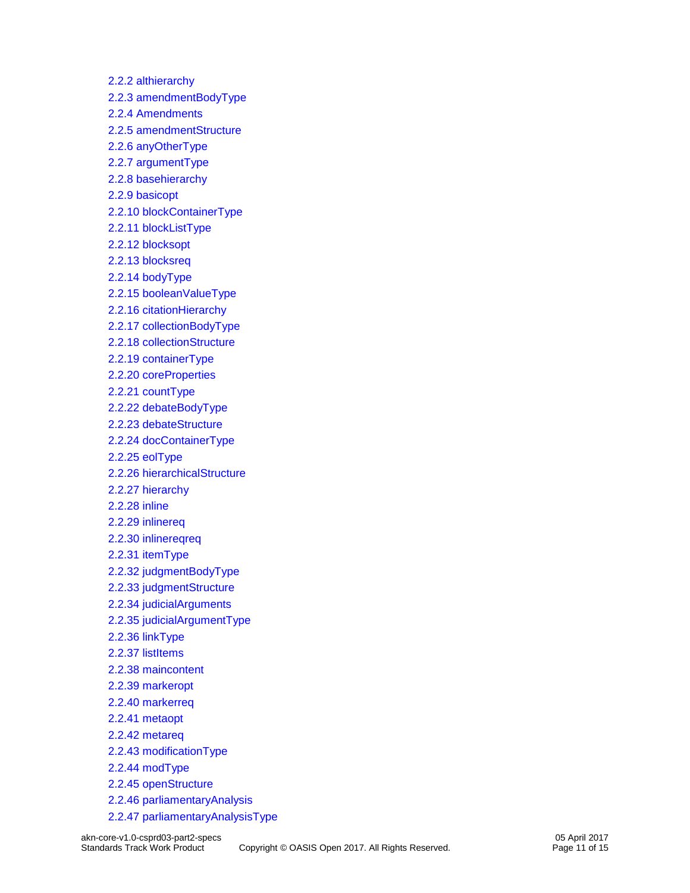[2.2.2 althierarchy](materials/akn-core-v1.0-csprd03-part2-specs_xsd_Complex_Type_althierarchy.html) [2.2.3 amendmentBodyType](materials/akn-core-v1.0-csprd03-part2-specs_xsd_Complex_Type_amendmentBodyType.html) [2.2.4 Amendments](materials/akn-core-v1.0-csprd03-part2-specs_xsd_Complex_Type_Amendments.html) [2.2.5 amendmentStructure](materials/akn-core-v1.0-csprd03-part2-specs_xsd_Complex_Type_amendmentStructure.html) [2.2.6 anyOtherType](materials/akn-core-v1.0-csprd03-part2-specs_xsd_Complex_Type_anyOtherType.html) [2.2.7 argumentType](materials/akn-core-v1.0-csprd03-part2-specs_xsd_Complex_Type_argumentType.html) [2.2.8 basehierarchy](materials/akn-core-v1.0-csprd03-part2-specs_xsd_Complex_Type_basehierarchy.html) [2.2.9 basicopt](materials/akn-core-v1.0-csprd03-part2-specs_xsd_Complex_Type_basicopt.html) [2.2.10 blockContainerType](materials/akn-core-v1.0-csprd03-part2-specs_xsd_Complex_Type_blockContainerType.html) [2.2.11 blockListType](materials/akn-core-v1.0-csprd03-part2-specs_xsd_Complex_Type_blockListType.html) [2.2.12 blocksopt](materials/akn-core-v1.0-csprd03-part2-specs_xsd_Complex_Type_blocksopt.html) [2.2.13 blocksreq](materials/akn-core-v1.0-csprd03-part2-specs_xsd_Complex_Type_blocksreq.html) [2.2.14 bodyType](materials/akn-core-v1.0-csprd03-part2-specs_xsd_Complex_Type_bodyType.html) [2.2.15 booleanValueType](materials/akn-core-v1.0-csprd03-part2-specs_xsd_Complex_Type_booleanValueType.html) [2.2.16 citationHierarchy](materials/akn-core-v1.0-csprd03-part2-specs_xsd_Complex_Type_citationHierarchy.html) [2.2.17 collectionBodyType](materials/akn-core-v1.0-csprd03-part2-specs_xsd_Complex_Type_collectionBodyType.html) [2.2.18 collectionStructure](materials/akn-core-v1.0-csprd03-part2-specs_xsd_Complex_Type_collectionStructure.html) [2.2.19 containerType](materials/akn-core-v1.0-csprd03-part2-specs_xsd_Complex_Type_containerType.html) [2.2.20 coreProperties](materials/akn-core-v1.0-csprd03-part2-specs_xsd_Complex_Type_coreProperties.html) [2.2.21 countType](materials/akn-core-v1.0-csprd03-part2-specs_xsd_Complex_Type_countType.html) [2.2.22 debateBodyType](materials/akn-core-v1.0-csprd03-part2-specs_xsd_Complex_Type_debateBodyType.html) [2.2.23 debateStructure](materials/akn-core-v1.0-csprd03-part2-specs_xsd_Complex_Type_debateStructure.html) [2.2.24 docContainerType](materials/akn-core-v1.0-csprd03-part2-specs_xsd_Complex_Type_docContainerType.html) [2.2.25 eolType](materials/akn-core-v1.0-csprd03-part2-specs_xsd_Complex_Type_eolType.html) [2.2.26 hierarchicalStructure](materials/akn-core-v1.0-csprd03-part2-specs_xsd_Complex_Type_hierarchicalStructure.html) [2.2.27 hierarchy](materials/akn-core-v1.0-csprd03-part2-specs_xsd_Complex_Type_hierarchy.html) [2.2.28 inline](materials/akn-core-v1.0-csprd03-part2-specs_xsd_Complex_Type_inline.html) [2.2.29 inlinereq](materials/akn-core-v1.0-csprd03-part2-specs_xsd_Complex_Type_inlinereq.html) [2.2.30 inlinereqreq](materials/akn-core-v1.0-csprd03-part2-specs_xsd_Complex_Type_inlinereqreq.html) [2.2.31 itemType](materials/akn-core-v1.0-csprd03-part2-specs_xsd_Complex_Type_itemType.html) [2.2.32 judgmentBodyType](materials/akn-core-v1.0-csprd03-part2-specs_xsd_Complex_Type_judgmentBodyType.html) [2.2.33 judgmentStructure](materials/akn-core-v1.0-csprd03-part2-specs_xsd_Complex_Type_judgmentStructure.html) [2.2.34 judicialArguments](materials/akn-core-v1.0-csprd03-part2-specs_xsd_Complex_Type_judicialArguments.html) [2.2.35 judicialArgumentType](materials/akn-core-v1.0-csprd03-part2-specs_xsd_Complex_Type_judicialArgumentType.html) [2.2.36 linkType](materials/akn-core-v1.0-csprd03-part2-specs_xsd_Complex_Type_linkType.html) [2.2.37 listItems](materials/akn-core-v1.0-csprd03-part2-specs_xsd_Complex_Type_listItems.html) [2.2.38 maincontent](materials/akn-core-v1.0-csprd03-part2-specs_xsd_Complex_Type_maincontent.html) [2.2.39 markeropt](materials/akn-core-v1.0-csprd03-part2-specs_xsd_Complex_Type_markeropt.html) [2.2.40 markerreq](materials/akn-core-v1.0-csprd03-part2-specs_xsd_Complex_Type_markerreq.html) 2.2.41 [metaopt](materials/akn-core-v1.0-csprd03-part2-specs_xsd_Complex_Type_metaopt.html) [2.2.42 metareq](materials/akn-core-v1.0-csprd03-part2-specs_xsd_Complex_Type_metareq.html) [2.2.43 modificationType](materials/akn-core-v1.0-csprd03-part2-specs_xsd_Complex_Type_modificationType.html) [2.2.44 modType](materials/akn-core-v1.0-csprd03-part2-specs_xsd_Complex_Type_modType.html) [2.2.45 openStructure](materials/akn-core-v1.0-csprd03-part2-specs_xsd_Complex_Type_openStructure.html) [2.2.46 parliamentaryAnalysis](materials/akn-core-v1.0-csprd03-part2-specs_xsd_Complex_Type_parliamentaryAnalysis.html) [2.2.47 parliamentaryAnalysisType](materials/akn-core-v1.0-csprd03-part2-specs_xsd_Complex_Type_parliamentaryAnalysisType.html)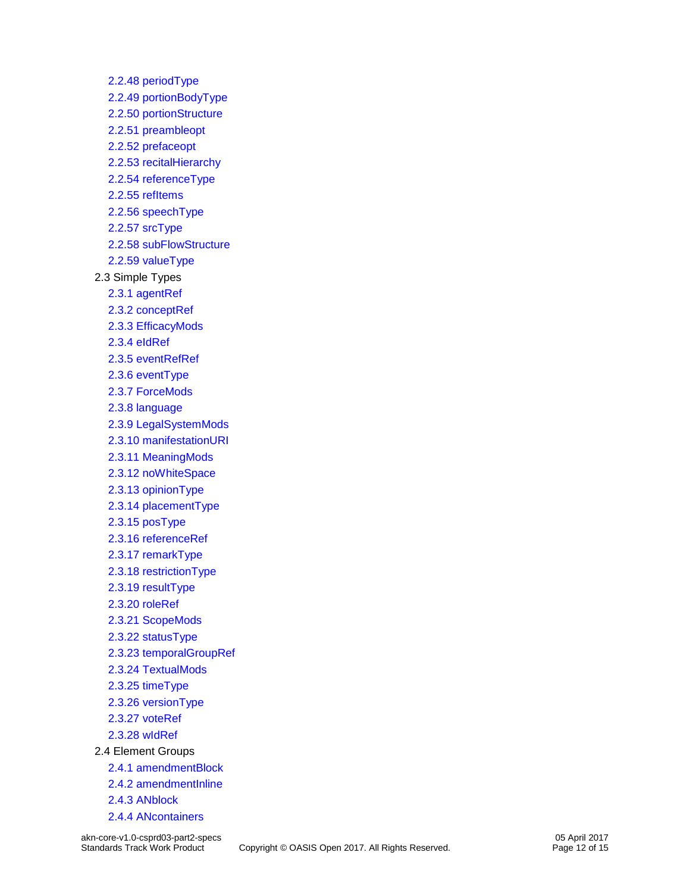[2.2.48 periodType](materials/akn-core-v1.0-csprd03-part2-specs_xsd_Complex_Type_periodType.html) [2.2.49 portionBodyType](materials/akn-core-v1.0-csprd03-part2-specs_xsd_Complex_Type_portionBodyType.html) [2.2.50 portionStructure](materials/akn-core-v1.0-csprd03-part2-specs_xsd_Complex_Type_portionStructure.html) [2.2.51 preambleopt](materials/akn-core-v1.0-csprd03-part2-specs_xsd_Complex_Type_preambleopt.html) [2.2.52 prefaceopt](materials/akn-core-v1.0-csprd03-part2-specs_xsd_Complex_Type_prefaceopt.html) [2.2.53 recitalHierarchy](materials/akn-core-v1.0-csprd03-part2-specs_xsd_Complex_Type_recitalHierarchy.html) [2.2.54 referenceType](materials/akn-core-v1.0-csprd03-part2-specs_xsd_Complex_Type_referenceType.html) [2.2.55 refItems](materials/akn-core-v1.0-csprd03-part2-specs_xsd_Complex_Type_refItems.html) [2.2.56 speechType](materials/akn-core-v1.0-csprd03-part2-specs_xsd_Complex_Type_speechType.html) [2.2.57 srcType](materials/akn-core-v1.0-csprd03-part2-specs_xsd_Complex_Type_srcType.html) [2.2.58 subFlowStructure](materials/akn-core-v1.0-csprd03-part2-specs_xsd_Complex_Type_subFlowStructure.html) [2.2.59 valueType](materials/akn-core-v1.0-csprd03-part2-specs_xsd_Complex_Type_valueType.html) 2.3 Simple Types [2.3.1 agentRef](materials/akn-core-v1.0-csprd03-part2-specs_xsd_Simple_Type_agentRef.html) [2.3.2 conceptRef](materials/akn-core-v1.0-csprd03-part2-specs_xsd_Simple_Type_conceptRef.html) [2.3.3 EfficacyMods](materials/akn-core-v1.0-csprd03-part2-specs_xsd_Simple_Type_EfficacyMods.html) [2.3.4 eIdRef](materials/akn-core-v1.0-csprd03-part2-specs_xsd_Simple_Type_eIdRef.html) [2.3.5 eventRefRef](materials/akn-core-v1.0-csprd03-part2-specs_xsd_Simple_Type_eventRefRef.html) [2.3.6 eventType](materials/akn-core-v1.0-csprd03-part2-specs_xsd_Simple_Type_eventType.html) [2.3.7 ForceMods](materials/akn-core-v1.0-csprd03-part2-specs_xsd_Simple_Type_ForceMods.html) [2.3.8 language](materials/akn-core-v1.0-csprd03-part2-specs_xsd_Simple_Type_language.html) [2.3.9 LegalSystemMods](materials/akn-core-v1.0-csprd03-part2-specs_xsd_Simple_Type_LegalSystemMods.html) [2.3.10 manifestationURI](materials/akn-core-v1.0-csprd03-part2-specs_xsd_Simple_Type_manifestationURI.html) [2.3.11 MeaningMods](materials/akn-core-v1.0-csprd03-part2-specs_xsd_Simple_Type_MeaningMods.html) [2.3.12 noWhiteSpace](materials/akn-core-v1.0-csprd03-part2-specs_xsd_Simple_Type_noWhiteSpace.html) [2.3.13 opinionType](materials/akn-core-v1.0-csprd03-part2-specs_xsd_Simple_Type_opinionType.html) [2.3.14 placementType](materials/akn-core-v1.0-csprd03-part2-specs_xsd_Simple_Type_placementType.html) [2.3.15 posType](materials/akn-core-v1.0-csprd03-part2-specs_xsd_Simple_Type_posType.html) [2.3.16 referenceRef](materials/akn-core-v1.0-csprd03-part2-specs_xsd_Simple_Type_referenceRef.html) [2.3.17 remarkType](materials/akn-core-v1.0-csprd03-part2-specs_xsd_Simple_Type_remarkType.html) [2.3.18 restrictionType](materials/akn-core-v1.0-csprd03-part2-specs_xsd_Simple_Type_restrictionType.html) [2.3.19 resultType](materials/akn-core-v1.0-csprd03-part2-specs_xsd_Simple_Type_resultType.html) [2.3.20 roleRef](materials/akn-core-v1.0-csprd03-part2-specs_xsd_Simple_Type_roleRef.html) [2.3.21 ScopeMods](materials/akn-core-v1.0-csprd03-part2-specs_xsd_Simple_Type_ScopeMods.html) [2.3.22 statusType](materials/akn-core-v1.0-csprd03-part2-specs_xsd_Simple_Type_statusType.html) [2.3.23 temporalGroupRef](materials/akn-core-v1.0-csprd03-part2-specs_xsd_Simple_Type_temporalGroupRef.html) [2.3.24 TextualMods](materials/akn-core-v1.0-csprd03-part2-specs_xsd_Simple_Type_TextualMods.html) [2.3.25 timeType](materials/akn-core-v1.0-csprd03-part2-specs_xsd_Simple_Type_timeType.html) [2.3.26 versionType](materials/akn-core-v1.0-csprd03-part2-specs_xsd_Simple_Type_versionType.html) [2.3.27 voteRef](materials/akn-core-v1.0-csprd03-part2-specs_xsd_Simple_Type_voteRef.html) [2.3.28 wIdRef](materials/akn-core-v1.0-csprd03-part2-specs_xsd_Simple_Type_wIdRef.html) 2.4 Element Groups [2.4.1 amendmentBlock](materials/akn-core-v1.0-csprd03-part2-specs_xsd_Element_Group_amendmentBlock.html) [2.4.2 amendmentInline](materials/akn-core-v1.0-csprd03-part2-specs_xsd_Element_Group_amendmentInline.html) [2.4.3 ANblock](materials/akn-core-v1.0-csprd03-part2-specs_xsd_Element_Group_ANblock.html) [2.4.4 ANcontainers](materials/akn-core-v1.0-csprd03-part2-specs_xsd_Element_Group_ANcontainers.html)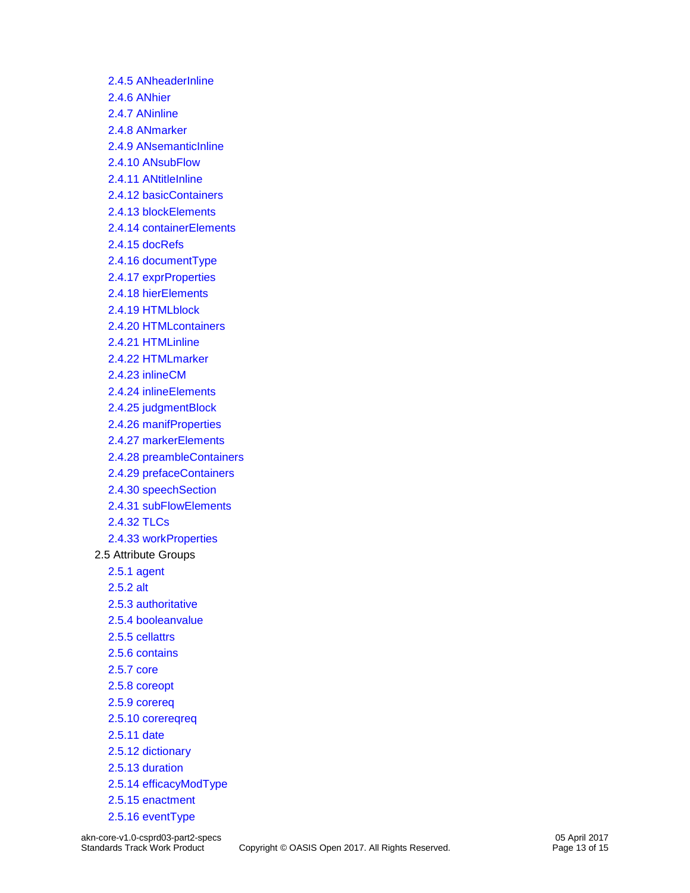[2.4.5 ANheaderInline](materials/akn-core-v1.0-csprd03-part2-specs_xsd_Element_Group_ANheaderInline.html) [2.4.6 ANhier](materials/akn-core-v1.0-csprd03-part2-specs_xsd_Element_Group_ANhier.html) [2.4.7 ANinline](materials/akn-core-v1.0-csprd03-part2-specs_xsd_Element_Group_ANinline.html) [2.4.8 ANmarker](materials/akn-core-v1.0-csprd03-part2-specs_xsd_Element_Group_ANmarker.html) [2.4.9 ANsemanticInline](materials/akn-core-v1.0-csprd03-part2-specs_xsd_Element_Group_ANsemanticInline.html) [2.4.10 ANsubFlow](materials/akn-core-v1.0-csprd03-part2-specs_xsd_Element_Group_ANsubFlow.html) [2.4.11 ANtitleInline](materials/akn-core-v1.0-csprd03-part2-specs_xsd_Element_Group_ANtitleInline.html) [2.4.12 basicContainers](materials/akn-core-v1.0-csprd03-part2-specs_xsd_Element_Group_basicContainers.html) [2.4.13 blockElements](materials/akn-core-v1.0-csprd03-part2-specs_xsd_Element_Group_blockElements.html) [2.4.14 containerElements](materials/akn-core-v1.0-csprd03-part2-specs_xsd_Element_Group_containerElements.html) [2.4.15 docRefs](materials/akn-core-v1.0-csprd03-part2-specs_xsd_Element_Group_docRefs.html) [2.4.16 documentType](materials/akn-core-v1.0-csprd03-part2-specs_xsd_Element_Group_documentType.html) [2.4.17 exprProperties](materials/akn-core-v1.0-csprd03-part2-specs_xsd_Element_Group_exprProperties.html) [2.4.18 hierElements](materials/akn-core-v1.0-csprd03-part2-specs_xsd_Element_Group_hierElements.html) [2.4.19 HTMLblock](materials/akn-core-v1.0-csprd03-part2-specs_xsd_Element_Group_HTMLblock.html) [2.4.20 HTMLcontainers](materials/akn-core-v1.0-csprd03-part2-specs_xsd_Element_Group_HTMLcontainers.html) [2.4.21 HTMLinline](materials/akn-core-v1.0-csprd03-part2-specs_xsd_Element_Group_HTMLinline.html) [2.4.22 HTMLmarker](materials/akn-core-v1.0-csprd03-part2-specs_xsd_Element_Group_HTMLmarker.html) [2.4.23 inlineCM](materials/akn-core-v1.0-csprd03-part2-specs_xsd_Element_Group_inlineCM.html) [2.4.24 inlineElements](materials/akn-core-v1.0-csprd03-part2-specs_xsd_Element_Group_inlineElements.html) [2.4.25 judgmentBlock](materials/akn-core-v1.0-csprd03-part2-specs_xsd_Element_Group_judgmentBlock.html) [2.4.26 manifProperties](materials/akn-core-v1.0-csprd03-part2-specs_xsd_Element_Group_manifProperties.html) [2.4.27 markerElements](materials/akn-core-v1.0-csprd03-part2-specs_xsd_Element_Group_markerElements.html) [2.4.28 preambleContainers](materials/akn-core-v1.0-csprd03-part2-specs_xsd_Element_Group_preambleContainers.html) [2.4.29 prefaceContainers](materials/akn-core-v1.0-csprd03-part2-specs_xsd_Element_Group_prefaceContainers.html) [2.4.30 speechSection](materials/akn-core-v1.0-csprd03-part2-specs_xsd_Element_Group_speechSection.html) [2.4.31 subFlowElements](materials/akn-core-v1.0-csprd03-part2-specs_xsd_Element_Group_subFlowElements.html) [2.4.32 TLCs](materials/akn-core-v1.0-csprd03-part2-specs_xsd_Element_Group_TLCs.html) [2.4.33 workProperties](materials/akn-core-v1.0-csprd03-part2-specs_xsd_Element_Group_workProperties.html) 2.5 Attribute Groups [2.5.1 agent](materials/akn-core-v1.0-csprd03-part2-specs_xsd_Attribute_Group_agent.html) [2.5.2 alt](materials/akn-core-v1.0-csprd03-part2-specs_xsd_Attribute_Group_alt.html) [2.5.3 authoritative](materials/akn-core-v1.0-csprd03-part2-specs_xsd_Attribute_Group_authoritative.html) [2.5.4 booleanvalue](materials/akn-core-v1.0-csprd03-part2-specs_xsd_Attribute_Group_booleanvalue.html) [2.5.5 cellattrs](materials/akn-core-v1.0-csprd03-part2-specs_xsd_Attribute_Group_cellattrs.html) [2.5.6 contains](materials/akn-core-v1.0-csprd03-part2-specs_xsd_Attribute_Group_contains.html) [2.5.7 core](materials/akn-core-v1.0-csprd03-part2-specs_xsd_Attribute_Group_core.html) [2.5.8 coreopt](materials/akn-core-v1.0-csprd03-part2-specs_xsd_Attribute_Group_coreopt.html) [2.5.9 corereq](materials/akn-core-v1.0-csprd03-part2-specs_xsd_Attribute_Group_corereq.html) [2.5.10 corereqreq](materials/akn-core-v1.0-csprd03-part2-specs_xsd_Attribute_Group_corereqreq.html) [2.5.11 date](materials/akn-core-v1.0-csprd03-part2-specs_xsd_Attribute_Group_date.html) [2.5.12 dictionary](materials/akn-core-v1.0-csprd03-part2-specs_xsd_Attribute_Group_dictionary.html) [2.5.13 duration](materials/akn-core-v1.0-csprd03-part2-specs_xsd_Attribute_Group_duration.html) [2.5.14 efficacyModType](materials/akn-core-v1.0-csprd03-part2-specs_xsd_Attribute_Group_efficacyModType.html) [2.5.15 enactment](materials/akn-core-v1.0-csprd03-part2-specs_xsd_Attribute_Group_enactment.html) [2.5.16 eventType](materials/akn-core-v1.0-csprd03-part2-specs_xsd_Attribute_Group_eventType.html)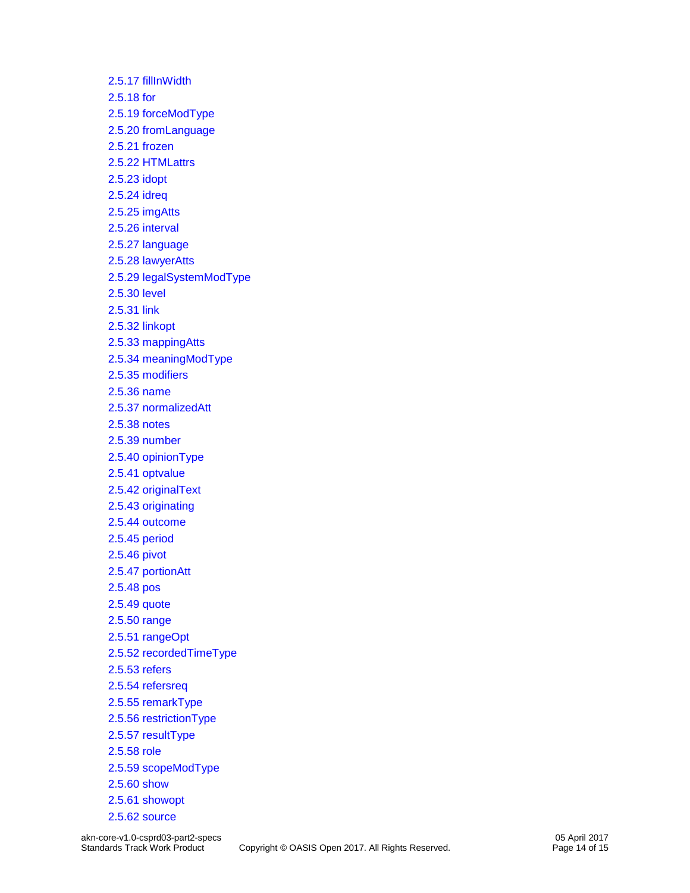[2.5.17 fillInWidth](materials/akn-core-v1.0-csprd03-part2-specs_xsd_Attribute_Group_fillInWidth.html) [2.5.18 for](materials/akn-core-v1.0-csprd03-part2-specs_xsd_Attribute_Group_for.html) [2.5.19 forceModType](materials/akn-core-v1.0-csprd03-part2-specs_xsd_Attribute_Group_forceModType.html) [2.5.20 fromLanguage](materials/akn-core-v1.0-csprd03-part2-specs_xsd_Attribute_Group_fromLanguage.html) [2.5.21 frozen](materials/akn-core-v1.0-csprd03-part2-specs_xsd_Attribute_Group_frozen.html) [2.5.22 HTMLattrs](materials/akn-core-v1.0-csprd03-part2-specs_xsd_Attribute_Group_HTMLattrs.html) [2.5.23 idopt](materials/akn-core-v1.0-csprd03-part2-specs_xsd_Attribute_Group_idopt.html) [2.5.24 idreq](materials/akn-core-v1.0-csprd03-part2-specs_xsd_Attribute_Group_idreq.html) [2.5.25 imgAtts](materials/akn-core-v1.0-csprd03-part2-specs_xsd_Attribute_Group_imgAtts.html) [2.5.26 interval](materials/akn-core-v1.0-csprd03-part2-specs_xsd_Attribute_Group_interval.html) [2.5.27 language](materials/akn-core-v1.0-csprd03-part2-specs_xsd_Attribute_Group_language.html) [2.5.28 lawyerAtts](materials/akn-core-v1.0-csprd03-part2-specs_xsd_Attribute_Group_lawyerAtts.html) [2.5.29 legalSystemModType](materials/akn-core-v1.0-csprd03-part2-specs_xsd_Attribute_Group_legalSystemModType.html) [2.5.30 level](materials/akn-core-v1.0-csprd03-part2-specs_xsd_Attribute_Group_level.html) [2.5.31 link](materials/akn-core-v1.0-csprd03-part2-specs_xsd_Attribute_Group_link.html) [2.5.32 linkopt](materials/akn-core-v1.0-csprd03-part2-specs_xsd_Attribute_Group_linkopt.html) [2.5.33 mappingAtts](materials/akn-core-v1.0-csprd03-part2-specs_xsd_Attribute_Group_mappingAtts.html) [2.5.34 meaningModType](materials/akn-core-v1.0-csprd03-part2-specs_xsd_Attribute_Group_meaningModType.html) [2.5.35 modifiers](materials/akn-core-v1.0-csprd03-part2-specs_xsd_Attribute_Group_modifiers.html) [2.5.36 name](materials/akn-core-v1.0-csprd03-part2-specs_xsd_Attribute_Group_name.html) [2.5.37 normalizedAtt](materials/akn-core-v1.0-csprd03-part2-specs_xsd_Attribute_Group_normalizedAtt.html) [2.5.38 notes](materials/akn-core-v1.0-csprd03-part2-specs_xsd_Attribute_Group_notes.html) [2.5.39 number](materials/akn-core-v1.0-csprd03-part2-specs_xsd_Attribute_Group_number.html) [2.5.40 opinionType](materials/akn-core-v1.0-csprd03-part2-specs_xsd_Attribute_Group_opinionType.html) [2.5.41 optvalue](materials/akn-core-v1.0-csprd03-part2-specs_xsd_Attribute_Group_optvalue.html) [2.5.42 originalText](materials/akn-core-v1.0-csprd03-part2-specs_xsd_Attribute_Group_originalText.html) [2.5.43 originating](materials/akn-core-v1.0-csprd03-part2-specs_xsd_Attribute_Group_originating.html) [2.5.44 outcome](materials/akn-core-v1.0-csprd03-part2-specs_xsd_Attribute_Group_outcome.html) [2.5.45 period](materials/akn-core-v1.0-csprd03-part2-specs_xsd_Attribute_Group_period.html) [2.5.46 pivot](materials/akn-core-v1.0-csprd03-part2-specs_xsd_Attribute_Group_pivot.html) [2.5.47 portionAtt](materials/akn-core-v1.0-csprd03-part2-specs_xsd_Attribute_Group_portionAtt.html) [2.5.48 pos](materials/akn-core-v1.0-csprd03-part2-specs_xsd_Attribute_Group_pos.html) [2.5.49 quote](materials/akn-core-v1.0-csprd03-part2-specs_xsd_Attribute_Group_quote.html) [2.5.50 range](materials/akn-core-v1.0-csprd03-part2-specs_xsd_Attribute_Group_range.html) [2.5.51 rangeOpt](materials/akn-core-v1.0-csprd03-part2-specs_xsd_Attribute_Group_rangeOpt.html) [2.5.52 recordedTimeType](materials/akn-core-v1.0-csprd03-part2-specs_xsd_Attribute_Group_recordedTimeType.html) [2.5.53 refers](materials/akn-core-v1.0-csprd03-part2-specs_xsd_Attribute_Group_refers.html) [2.5.54 refersreq](materials/akn-core-v1.0-csprd03-part2-specs_xsd_Attribute_Group_refersreq.html) [2.5.55 remarkType](materials/akn-core-v1.0-csprd03-part2-specs_xsd_Attribute_Group_remarkType.html) [2.5.56 restrictionType](materials/akn-core-v1.0-csprd03-part2-specs_xsd_Attribute_Group_restrictionType.html) [2.5.57 resultType](materials/akn-core-v1.0-csprd03-part2-specs_xsd_Attribute_Group_resultType.html) [2.5.58 role](materials/akn-core-v1.0-csprd03-part2-specs_xsd_Attribute_Group_role.html) [2.5.59 scopeModType](materials/akn-core-v1.0-csprd03-part2-specs_xsd_Attribute_Group_scopeModType.html) [2.5.60 show](materials/akn-core-v1.0-csprd03-part2-specs_xsd_Attribute_Group_show.html) [2.5.61 showopt](materials/akn-core-v1.0-csprd03-part2-specs_xsd_Attribute_Group_showopt.html) [2.5.62 source](materials/akn-core-v1.0-csprd03-part2-specs_xsd_Attribute_Group_source.html)